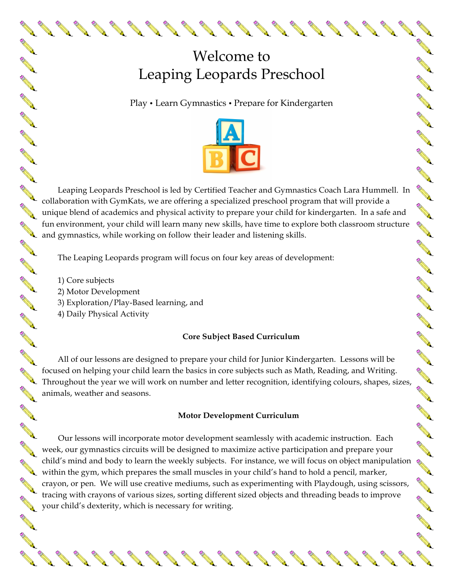# Welcome to Leaping Leopards Preschool

ANNAN

No recent de

**AND RE** 

A A R

A A C

**AND RE** 

A A A

A A REA

AN CONTROLL

A March

A March

AND A

No recent of

**RANTING RD** 

A REA

A March

**RANT** 

**CALL RD** 

**ANTICATION** 

Control of

A REA

A A A

A Read of

**CALL RD** 

No. of Canada and

Play • Learn Gymnastics • Prepare for Kindergarten



Leaping Leopards Preschool is led by Certified Teacher and Gymnastics Coach Lara Hummell. In Leaping Leopards Preschool is led by Certified Teacher and Cymraes Collaboration with GymKats, we are offering a specialized preschool program that will provide a collaboration with GymKats, we are offering a specialized p unique blend of academics and physical activity to prepare your child for kindergarten. In a safe and<br>in the conduct of activity to the conduct has been attractivity of the conduction of the conduction of the conduction of fun environment, your child will learn many new skills, have time to explore both classroom structure fun environment, your child will learn many non simply, and gymnastics, while working on follow their leader and listening skills.

The Leaping Leopards program will focus on four key areas of development:

1) Core subjects

**AND RE** 

**RANT** 

**AND RE** 

**AND RD** 

**RANT** 

**AND RE** 

**AND** 

A A A

**AND** 

**RANT** 

**AND** 

**AND RD** 

**ANTI** 

**AND** 

No Card

A REA

**RANT** 

A A R

A A Contract of the Contract of the Contract of The Contract of The Contract of The Contract of The Contract of The Contract of The Contract of The Contract of The Contract of The Contract of The Contract of The Contract o

**AND** 

A March

**AND** 

A March 19

- 2) Motor Development
- 3) Exploration/Play-Based learning, and
- 4) Daily Physical Activity

## **Core Subject Based Curriculum**

All of our lessons are designed to prepare your child for Junior Kindergarten. Lessons will be focused on helping your child learn the basics in core subjects such as Math, Reading, and Writing. Throughout the year we will work on number and letter recognition, identifying colours, shapes, sizes, animals, weather and seasons.

## **Motor Development Curriculum**

Our lessons will incorporate motor development seamlessly with academic instruction. Each week, our gymnastics circuits will be designed to maximize active participation and prepare your child's mind and body to learn the weekly subjects. For instance, we will focus on object manipulation child's mind and boay to learn the weekly subjector is a matrix of the small muscles in your child's hand to hold a pencil, marker, crayon, or pen. We will use creative mediums, such as experimenting with Playdough, using scissors, tracing with crayons of various sizes, sorting different sized objects and threading beads to improve your child's dexterity, which is necessary for writing.